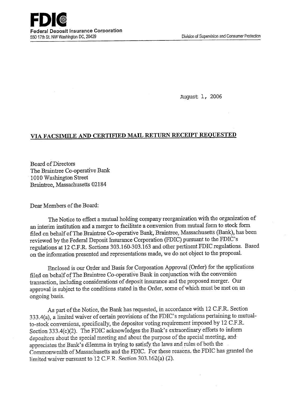August 1, 2006

## **VIA FACSIMILE AND CERTIFIED MATh RETURN RECEIPT REQUESTED**

Board of Directors The Braintree Co-operative Bank 1010 Washington Street Braintree, Massachusetts 02184

Dear Members of the Board:

The Notice to effect a mutual holding company reorganization with the organization of an interim institution and a merger to facilitate a conversion from mutual form to stock form filed on behalf of The Braintree Co-operative Bank, Braintree, Massachusetts (Bank), has been reviewed by the Federal Deposit Insurance Corporation (FDIC) pursuant to the FDIC's regulations at 12 C.F.R. Sections 303.160-303.163 and other pertinent FDIC regulations. Based on the information presented and representations made, we do not object to the proposal.

Enclosed is our Order and Basis for Corporation Approval (Order) for the applications filed on behalf of The Braintree Co-operative Bank in conjunction with the conversion transaction, including considerations of deposit insurance and the proposed merger. Our approval is subject to the conditions stated in the Order, some of which must be met on an ongoing basis.

As part of the Notice, the Bank has requested, in accordance with 12 C.F.R. Section 333.4(a), a limited waiver of certain provisions of the FDIC's regulations pertaining to mutualto-stock conversions, specifically, the depositor voting requirement imposed by 12 C.F.R. Section 333.4(c)(2). The FDIC acknowledges the Bank's extraordinary efforts to inform depositors about the special meeting and about the purpose of the special meeting, andappreciates the Bank's dilemma in trying to satisfy the laws and rules of both the Commonwealth of Massachusetts and the FDIC. For these reasons, the FDIC has granted the limited waiver pursuant to 12 C.F.R. Section 303.162(a) (2).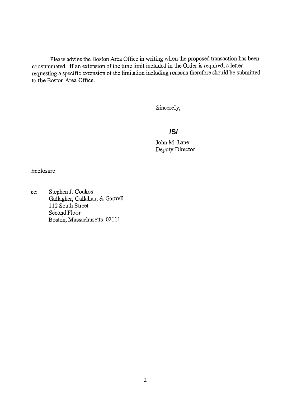Please advise the Boston Area Office in writing when the proposed transaction has been consummated. If an extension of the time limit included in the Order is required, a letter requesting a specific extension of the limitation including reasons therefore should be submitted to the Boston Area Office.

Sincerely,

# **/S/**

John M. Lane Deputy Director

Enclosure

cc: Stephen J. Coukos Gallagher, Callahan, & Garttell 112 South Street Second Floor Boston, Massachusetts 02111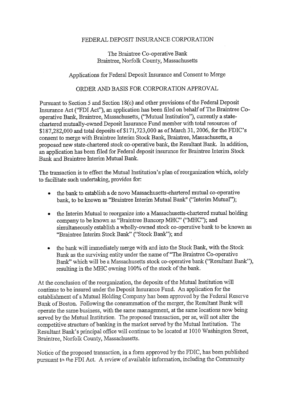### FEDERAL DEPOSIT INSURANCE CORPORATION

## The Braintree Co-operative Bank Braintree, Norfolk County, Massachusetts

## Applications for Federal Deposit Insurance and Consent to Merge

#### ORDER AND BASIS FOR CORPORATION APPROVAL

Pursuant to Section *5* and Section 18(c) and other provisions of the Federal Deposit Insurance Act ("FDI Act"), an application has been filed on behalf of The Braintree Cooperative Bank, Braintree, Massachusetts, ("Mutual Institution"), currently a statechartered mutually-owned Deposit Insurance Fund member with total resources of \$187,282,000 and total deposits of \$171,723,000 as of March 31, 2006, for the FDIC's consent to merge with Braintree Interim Stock Bank, Braintree, Massachusetts, a proposed new state-chartered stock co-operative bank, the Resultant Bank. In addition, an application has been filed for Federal deposit insurance for Braintree Interim Stock Bank and Braintree Interim Mutual Bank.

The transaction is to effect the Mutual Institution's plan of reorganization which, solely to facilitate such undertaking, provides for:

- the bank to establish a de novo Massachusetts-chartered mutual co-operative bank, to be known as "Braintree Interim Mutual Bank" ("Interim Mutual");
- the Interim Mutual to reorganize into a Massachusetts-chartered mutual holding company to be known as "Braintree Bancorp MHC" ("MHC"); and simultaneously establish a wholly-owned stock co-operative bank to be known as "Braintree Interim Stock Bank" ("Stock Bank"); and
- the bank will immediately merge with and into the Stock Bank, with the Stock Bank as the surviving entity under the name of "The Braintree Co-operative Bank" which will be a Massachusetts stock co-operative bank ("Resultant Bank"), resulting in the MHC owning 100% of the stock of the bank.

At the conclusion of the reorganization, the deposits of the Mutual Institution will continue to be insured under the Deposit Insurance Fund. An application for the establishment of a Mutual Holding Company has been approved by the Federal Reserve Bank of Boston. Following the consummation of the merger, the Resultant Bank will operate the same business, with the same management, at the same locations now being served by the Mutual Institution. The proposed transaction, per se, will not alter the competitive structure of banking in the market served by the Mutual Institution. The Resultant Bank's principal office will continue to be located at 1010 Washington Street, Braintree, Norfolk County, Massachusetts.

Notice of the proposed transaction, in a form approved by the FDIC, has been published: pursuant to the FDI Act. A review of available information, including the Community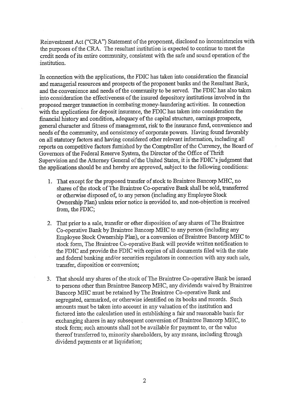Reinvestment Act ("CRA") Statement of the proponent, disclosed no inconsistencies with the purposes of the CRA. The resultant institution is expected to continue to meet the credit needs of its entire community, consistent with the safe and sound operation of the institution.

In connection with the applications, the FDIC has taken into consideration the financial and managerial resources and prospects of the proponent banks and the Resultant Bank, and the convenience and needs of the community to be served. The FDIC has also taken into consideration the effectiveness of the insured depository institutions involved in the proposed merger transaction in combating money-laundering activities. In connection with the applications for deposit insurance, the FDIC has taken into consideration the financial history and condition, adequacy of the capital structure, earnings prospects, general character and fitness of management, risk to the insurance fund, convenience and needs of the community, and consistency of corporate powers. Having found favorably on all statutory factors and having considered other relevant information, including all reports on competitive factors furnished by the Comptroller of the Currency, the Board of Governors of the Federal Reserve System, the Director of the Office of Thrift Supervision and the Attorney General of the United States, it is the FDIC's judgment that the applications should be and hereby are approved, subject to the following conditions:

- 1. That except for the proposed transfer of stock to Braintree Bancorp MHC, no shares of the stock of The Braintree Co-operative Bank shall be sold, transferred or otherwise disposed of, to any person (including any Employee Stock Ownership Plan) unless prior notice is provided to, and non-objection is received from, the FDIC;
- 2. That prior to a sale, transfer or other disposition of any shares of The Braintree Co-operative Bank by Braintree Bancorp MHC to any person (including any Employee Stock Ownership Plan), or a conversion of Braintree Bancorp MHC to stock form, The Braintree Co-operative Bank will provide written notification to the FDIC and provide the FDIC with copies of all documents filed with the state and federal banking and/or securities regulators in connection with any such sale, transfer, disposition or conversion;
- 3. That should any shares of the stock of The Braintree Co-operative Bank be issued to persons other than Braintree Bancorp MHC, any dividends waived by Braintree Bancorp MHC must be retained by The Braintree Co-operative Bank and segregated, earmarked, or otherwise identified on its books and records. Such amounts must be taken into account in any valuation of the institution and factored into the calculation used in establishing a fair and reasonable basis for exchanging shares in any subsequent conversion of Braintree Bancorp MHC, to stock form; such amounts shall not be available for payment to, or the value thereof transferred to, minority shareholders, by any means, including through dividend payments or at liquidation;